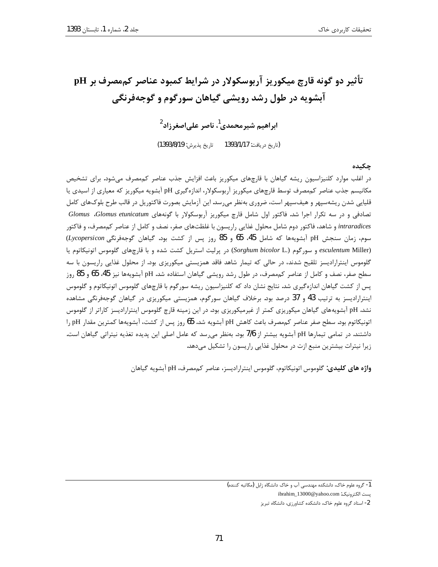# تأثیر دو گونه قارچ میکوریز آربوسکولار در شرایط کمبود عناصر کممصرف بر pH آبشویه در طول رشد رویشی گیاهان سورگوم و گوجهفرنگی

ابراهیم شیرمحمدی<sup>1</sup>، ناصر عل*ی اصغ*رزاد<sup>2</sup>

(تاريخ دريافت: 1393/1/17 تاريخ پذيرش: 1393/8/19)

چکىدە

در اغلب موارد کلنیزاسیون ریشه گیاهان با قارچهای میکوریز باعث افزایش جذب عناصر کممصرف می شود. برای تشخیص مکانیسم جذب عناصر کممصرف توسط قارچهای میکوریز آربوسکولار، اندازهگیری pH آبشویه میکوریز که معیاری از اسیدی یا قلیایی شدن ریشهسپهر و هیفسپهر است، ضروری بهنظر میرسد. این آزمایش بصورت فاکتوریل در قالب طرح بلوکهای کامل تصادفی و در سه تکرار اجرا شد. فاکتور اول شامل قارچ میکوریز آربوسکولار با گونههای Glomus Glomus etunicatum intraradices و شاهد، فاكتور دوم شامل محلول غذايي راريسون با غلظتهاي صفر، نصف و كامل از عناصر كممصرف، و فاكتور سوم، زمان سنجش pH آبشویهها که شامل 45، 65 و 85 روز پس از کشت بود. گیاهان گوجهفرنگی Lycopersicon) esculentum Miller) و سورگوم (Sorghum bicolor L.) در پرلیت استریل کشت شده و با قارچهای گلوموس اتونیکاتوم یا گلوموس اینترارادیسز تلقیح شدند، در حالی که تیمار شاهد فاقد همزیستی میکوریزی بود. از محلول غذایی راریسون با سه سطح صفر، نصف و كامل از عناصر كممصرف، در طول رشد رويشي گياهان استفاده شد. pH آبشويهها نيز 45، 65 و 85 روز پس از کشت گیاهان اندازهگیری شد. نتایج نشان داد که کلنیزاسیون ریشه سورگوم با قارچهای گلوموس اتونیکاتوم و گلوموس اینترارادیسز به ترتیب 43 و 37 درصد بود. برخلاف گیاهان سورگوم، همزیستی میکوریزی در گیاهان گوجهفرنگی مشاهده نشد. pH آبشویههای گیاهان میکوریزی کمتر از غیرمیکوریزی بود. در این زمینه قارچ گلوموس اینترارادیسز کاراتر از گلوموس اتونيكاتوم بود. سطح صفر عناصر كممصرف باعث كاهش pH آبشويه شد. 65 روز پس از كشت، آبشويهها كمترين مقدار pH را داشتند. در تمامی تیمارها pH آبشویه بیشتر از 7/6 بود. بهنظر می سد که عامل اصلی این پدیده تغذیه نیتراتی گیاهان است. زیرا نیترات بیشترین منبع ازت در محلول غذایی راریسون را تشکیل میدهد.

واژه های کلیدی: گلوموس اتونیکاتوم، گلوموس اینترارادیسز، عناصر کممصرف، pH آبشویه گیاهان

<sup>1-</sup> گروه علوم خاک، دانشکده مهندسی آب و خاک دانشگاه زابل (مکاتبه کننده)

نست الكترونيك: ibrahim\_13000@yahoo.com

<sup>2-</sup> استاد گروه علوم خاک، دانشکده کشاورزی، دانشگاه تبریز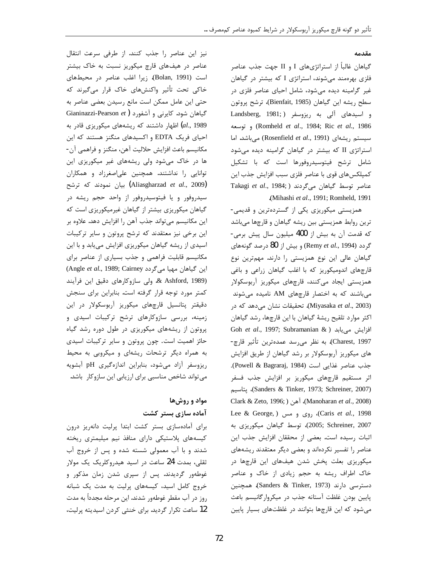#### مقدمه

گیاهان غالباً از استراتژیهای I و II جهت جذب عناصر فلزی بهرهمند میشوند، استراتژی I که بیشتر در گیاهان غیر گرامینه دیده میشود، شامل احیای عناصر فلزی در سطح ريشه اين گياهان (Bienfait, 1985)، ترشح پروتون و اسیدهای آلی به ریزوسفر (Landsberg, 1981; 686) Romheld et al., 1984; Ric et al., 1986) وتوسعه سیستم ریشهای (Rosenfield et al., 1991) میباشد. اما استراتژی II که بیشتر در گیاهان گرامینه دیده میشود شامل ترشح فيتوسيدروفورها است كه با تشكيل کمیلکس های قوی با عناصر فلزی سبب افزایش جذب این Takagi et al., 1984; میگردند ( Takagi et al., 1984; .(Mihashi et al., 1991; Romheld, 1991).

همزیستی میکوریزی یکی از گستردهترین و قدیمی-ترین روابط همزیستی بین ریشه گیاهان و قارچها میباشد كه قدمت آن به بيش از 400 ميليون سال پيش برمي-گردد (Remy et al., 1994) و بیش از 80 درصد گونههای گیاهان عالی این نوع همزیستی را دارند. مهمترین نوع قارچهای اندومیکوریز که با اغلب گیاهان زراعی و باغی همزیستی ایجاد میکنند، قارچهای میکوریز آربوسکولار میباشند که به اختصار قارچهای AM نامیده می شوند (Miyasaka et al., 2003). تحقیقات نشان میدهد که در اکثر موارد تلقیح ریشهٔ گیاهان با این قارچها، رشد گیاهان Goh et al., 1997; Subramanian & ) افزايش مي يابد Charest, 1997). به نظر میرسد عمدهترین تأثیر قارچ-های میکوریز آربوسکولار بر رشد گیاهان از طریق افزایش جذب عناصر غذايي است (Powell & Bagraraj, 1984). اثر مستقیم قارچهای میکوریز بر افزایش جذب فسفر (Sanders & Tinker, 1973; Schreiner, 2007)، پتاسيم Clark & Zeto, 1996;) (Manoharan et al., 2008) Lee & George, ) روى و مس (.Caris et al., 1998 2005; Schreiner, 2007)، توسط گیاهان میکوریزی به اثبات رسیده است. بعضی از محققان افزایش جذب این عناصر را تفسیر نکردهاند و بعضی دیگر معتقدند ریشههای میکوریزی بعلت پخش شدن هیفهای این قارچها در خاک اطراف ریشه به حجم زیادی از خاک و عناصر دسترسی دارند (Sanders & Tinker, 1973). همچنین پایین بودن غلظت آستانه جذب در میکروارگانیسم باعث می شود که این قارچها بتوانند در غلظتهای بسیار پایین

نیز این عناصر را جذب کنند. از طرفی سرعت انتقال عناصر در هیفهای قارچ میکوریز نسبت به خاک بیشتر است (Bolan, 1991). زيرا اغلب عناصر در محيطهاى خاکی تحت تأثیر واکنشهای خاک قرار میگیرند که حتى اين عامل ممكن است مانع رسيدن بعضى عناصر به Gianinazzi-Pearson et) گیاهان شود. کایرنی و آشفورد (al., 1989) اظهار داشتند که ریشههای میکوریزی قادر به احیای فریک EDTA و اکسیدهای منگنز هستند که این مكانيسم باعث افزايش حلاليت آهن، منگنز و فراهمي آن-ها در خاک میشود ولی ریشههای غیر میکوریزی این توانایی را نداشتند. همچنین علی اصغرزاد و همکاران (Aliasgharzad et al., 2009) بيان نمودند كه ترشح سیدروفور و یا فیتوسیدروفور از واحد حجم ریشه در گیاهان میکوریزی بیشتر از گیاهان غیرمیکوریزی است که این مکانیسم میتواند جذب آهن را افزایش دهد. علاوه بر این برخی نیز معتقدند که ترشح پروتون و سایر ترکیبات اسیدی از ریشه گیاهان میکوریزی افزایش مییابد و با این مکانیسم قابلیت فراهمی و جذب بسیاری از عناصر برای (Angle et al., 1989; Cairney میگردد) & Ashford, 1989. ولي سازوكارهاي دقيق اين فرآيند كمتر مورد توجه قرار گرفته است. بنابراین برای سنجش دقیقتر پتانسیل قارچهای میکوریز آربوسکولار در این زمینه، بررسی سازوکارهای ترشح ترکیبات اسیدی و پروتون از ریشههای میکوریزی در طول دوره رشد گیاه حائز اهمیت است. چون پروتون و سایر ترکیبات اسیدی به همراه دیگر ترشحات ریشهای و میکروبی به محیط ریزوسفر آزاد میشود، بنابراین اندازهگیری pH آبشویه می تواند شاخص مناسبی برای ارزیابی این سازوکار باشد.

### مواد و روشها آماده سازی بستر کشت

برای آمادهسازی بستر کشت ابتدا پرلیت دانهریز درون کیسههای پلاستیکی دارای منافذ نیم میلیمتری ریخته شدند و با آب معمولی شسته شده و پس از خروج آب ثقلی، بمدت 24 ساعت در اسید هیدروکلریک یک مولار غوطهور گردیدند. پس از سپری شدن زمان مذکور و خروج كامل اسيد، كيسههاى پرليت به مدت يك شبانه روز در آب مقطر غوطهور شدند. این مرحله مجدداً به مدت 12 ساعت تكرار گرديد. براي خنثي كردن اسيديته پرليت،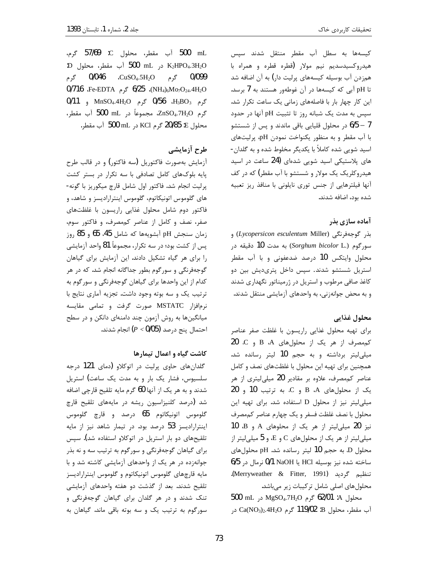کیسهها به سطل آب مقطر منتقل شدند سپس هیدروکسیدسدیم نیم مولار (قطره قطره و همراه با همزدن آب بوسیله کیسههای پرلیت دار) به آن اضافه شد تا pH آبی که کیسهها در آن غوطهور هستند به 7 برسد. این کار چهار بار با فاصلههای زمانی یک ساعت تکرار شد. سپس به مدت یک شبانه روز تا تثبیت pH آنها در حدود 1 – 6/5 در محلول قلیایی باقی ماندند و پس از شستشو با آب مقطر و به منظور یکنواخت نمودن pH، پرلیتهای اسید شویی شده کاملاً با یکدیگر مخلوط شده و به گلدان-های پلاستیکی اسید شویی شدهای (24 ساعت در اسید هیدروکلریک یک مولار و شستشو با آب مقطر) که در کف آنها فیلترهایی از جنس توری نایلونی با منافذ ریز تعبیه شده بود، اضافه شدند.

### آماده سازی بذر

بذر گوجهفرنگی (Lycopersicon esculentum Miller) و سورگوم (Sorghum bicolor L.) به مدت 10 دقیقه در محلول وایتکس 10 درصد ضدعفونی و با آب مقطر استریل شستشو شدند. سپس داخل پتریدیش بین دو کاغذ صافی مرطوب و استریل در ژرمیناتور نگهداری شدند و به محض جوانهزنی، به واحدهای آزمایشی منتقل شدند.

#### محلول غذايي

برای تهیه محلول غذایی راریسون با غلظت صفر عناصر کم مصرف از هر یک از محلول های B ،A و C ، 20 میلی لیتر برداشته و به حجم 10 لیتر رسانده شد. همچنین برای تهیه این محلول با غلظتهای نصف و کامل عناصر کم مصرف، علاوہ بر مقادیر 20 میلی لیتری از ہر یک از محلول های A، B و C. به ترتیب 10 و 20 میلی لیتر نیز از محلول D استفاده شد. برای تهیه این محلول با نصف غلظت فسفر و يک چهارم عناصر کممصرف نیز 20 میلی لیتر از هر یک از محلوهای A و B، 10 میلی لیتر از هر یک از محلولهای C و E، و 5 میلی لیتر از محلول D. به حجم 10 ليتر رسانده شد. pH محلولهاى ساخته شده نيز بوسيله HCl يا NaOH نرمال در 6/5 تنظيم گرديد (Merryweather & Fitter, 1991). محلول های اصلی شامل ترکیبات زیر میباشد.

500 mL محلول A: 02/01 گرم MgSO4.7H<sub>2</sub>O در 500 آب مقطر، محلول B: 119/02 گرم Ca(NO3)2.4H2O در

.500 mL آب مقطر، محلول C: 57/69 گرم، :D K2HPO4.3H2O در 500 mL آب مقطر، محلول D: گرم CuSO<sub>4</sub>.5H<sub>2</sub>O، 10**/046** گرم 0/099  $0/716$  .Fe-EDTA  $6/25$  (NH<sub>4</sub>)<sub>6</sub>Mo<sub>7</sub>O<sub>24</sub>.4H<sub>2</sub>O گرم H<sub>3</sub>BO<sub>3</sub>، 11<sub>3</sub>BO<sub>3</sub> گرم MnSO<sub>4</sub>.4H<sub>2</sub>O و 0/11 گرم ZnSO4.7H2O، مجموعاً در 500 mL آب مقطر، محلول E: 20/85 گرم KCl در ML آب مقطر.

# طرح آزمایشی

آزمایش بهصورت فاکتوریل (سه فاکتور) و در قالب طرح یایه بلوکهای کامل تصادفی با سه تکرار در بستر کشت يرليت انجام شد. فاكتور اول شامل قارچ ميكوريز با گونه-های گلوموس اتونیکاتوم، گلوموس اینترارادیسز و شاهد، و فاكتور دوم شامل محلول غذايي راريسون با غلظتهاى صفر، نصف و كامل از عناصر كممصرف، و فاكتور سوم، زمان سنجش pH آبشويهها كه شامل 45، 65 و 85 روز پس از کشت بود؛ در سه تکرار، مجموعاً 81 واحد آزمایشی را برای هر گیاه تشکیل دادند. این آزمایش برای گیاهان گوجهفرنگی و سورگوم بطور جداگانه انجام شد. که در هر کدام از این واحدها برای گیاهان گوجهفرنگی و سورگوم به ترتیب یک و سه بوته وجود داشت. تجزیه آماری نتایج با نرمافزار MSTATC صورت گرفت و تمامی مقایسه میانگینها به روش آزمون چند دامنهای دانکن و در سطح احتمال ينج درصد (9/05 $(P < 0$  انجام شدند.

### کاشت گیاه و اعمال تیمارها

گلدانهای حاوی پرلیت در اتوکلاو (دمای 121 درجه سلسیوس، فشار یک بار و به مدت یک ساعت) استریل شدند و به هر یک از آنها 60 گرم مایه تلقیح قارچی اضافه شد (درصد کلنیزاسیون ریشه در مایههای تلقیح قارچ گلوموس اتونيكاتوم 65 درصد و قارچ گلوموس اینترارادیسز 53 درصد بود. در تیمار شاهد نیز از مایه تلقیحهای دو بار استریل در اتوکلاو استفاده شد). سپس برای گیاهان گوجهفرنگی و سورگوم به ترتیب سه و نه بذر جوانهزده در هر یک از واحدهای آزمایشی کاشته شد و با مایه قارچهای گلوموس اتونیکاتوم و گلوموس اینترارادیسز تلقیح شدند. بعد از گذشت دو هفته واحدهای آزمایشی تنک شدند و در هر گلدان برای گیاهان گوجهفرنگی و سورگوم به ترتیب یک و سه بوته باقی ماند. گیاهان به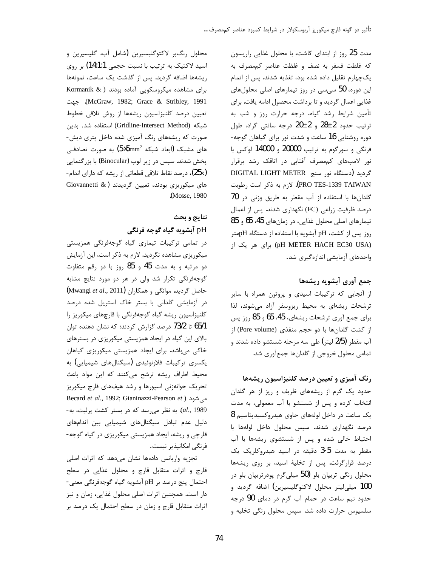مدت 25 روز از ابتدای کاشت، با محلول غذایی راریسون كه غلظت فسفر به نصف و غلظت عناصر كممصرف به یکچهارم تقلیل داده شده بود، تغذیه شدند. پس از اتمام این دوره، 50 سیسی در روز تیمارهای اصلی محلولهای غذایی اعمال گردید و تا برداشت محصول ادامه یافت. برای تأمین شرایط رشد گیاه، درجه حرارت روز و شب به ترتيب حدود 2±28 و 2±20 درجه سانتي گراد، طول دوره روشنایی 16 ساعت و شدت نور برای گیاهان گوجه-فرنگی و سورگوم به ترتیب 20000 و 14000 لوکس با نور لامپهای کممصرف آفتابی در اتاقک رشد برقرار گردید (دستگاه نور سنج DIGITAL LIGHT METER PRO TES-1339 TAIWAN). لازم به ذكر است رطوبت گلدانها با استفاده از آب مقطر به طريق وزني در 70 درصد ظرفیت زراعی (FC) نگهداری شدند. پس از اعمال تیمارهای اصلی محلول غذایی، در زمانهای 45، 65 و 85 روز پس از کشت، pH آبشویه با استفاده از دستگاه pHمتر (pH METER HACH EC30 USA) برای هر یک از واحدهای آزمایشی اندازهگیری شد.

## جمع آوري آبشويه ريشهها

از آنجایی که ترکیبات اسیدی و پروتون همراه با سایر ترشحات ریشهای به محیط ریزوسفر آزاد می شوند، لذا برای جمع آوری ترشحات ریشهای، 45، 65 و 85 روز پس از کشت گلدانها با دو حجم منفذی (Pore volume) از آب مقطر (2/5 ليتر) طي سه مرحله شستشو داده شدند و تمامی محلول خروجی از گلدانها جمعآوری شد.

# رنگ آمیزی و تعیین درصد کلنیزاسیون ریشهها

حدود یک گرم از ریشههای ظریف و ریز از هر گلدان انتخاب کرده و پس از شستشو با آب معمولی، به مدت یک ساعت در داخل لولههای حاوی هیدروکسیدپتاسیم 8 درصد نگهداری شدند. سپس محلول داخل لولهها با احتیاط خالی شده و پس از شستشوی ریشهها با آب مقطر به مدت 5-3 دقیقه در اسید هیدروکلریک یک درصد قرارگرفت. پس از تخلیهٔ اسید، بر روی ریشهها محلول رنگی تریپان بلو (50 میلیگرم پودرتریپان بلو در 100 میلیلیتر محلول لاکتوگلیسیرین) اضافه گردید و حدود نیم ساعت در حمام آب گرم در دمای 90 درجه سلسیوس حرارت داده شد. سپس محلول رنگی تخلیه و

محلول رنگبر لاكتوگليسيرين (شامل آب، گليسيرين و اسید لاکتیک به ترتیب با نسبت حجمی 14:1:1) بر روی ریشهها اضافه گردید. پس از گذشت یک ساعت، نمونهها برای مشاهده میکروسکوپی آماده بودند ( Kormanik & McGraw, 1982; Grace & Stribley, 1991). جهت تعيين درصد كلنيزاسيون ريشهها از روش تلاقى خطوط شبكه (Gridline-Intersect Method) استفاده شد. بدین صورت که ریشههای رنگ آمیزی شده داخل پتری دیش-های مشبک (ابعاد شبکه  $5$ 5mm $^2$ ) به صورت تصادفی پخش شدند. سپس در زیر لوپ (Binocular) با بزرگنمایی (25x)، درصد نقاط تلاقی قطعاتی از ریشه که دارای اندام-های میکوریزی بودند، تعیین گردیدند (& Giovannetti .(Mosse, 1980).

## نتايج و بحث pH آبشويه گياه گوجه فرنگي

در تمامی ترکیبات تیماری گیاه گوجهفرنگی همزیستی میکوریزی مشاهده نگردید. لازم به ذکر است، این آزمایش دو مرتبه و به مدت 45 و 85 روز با دو رقم متفاوت گوجهفرنگی تکرار شد ولی در هر دو مورد نتایج مشابه حاصل گردید. موانگی و همکاران (Mwangi et al., 2011) در آزمایشی گلدانی با بستر خاک استریل شده درصد کلنیزاسیون ریشه گیاه گوجهفرنگی با قارچهای میکوریز را 65/1 تا 73/2 درصد گزارش کردند؛ که نشان دهنده توان بالای این گیاه در ایجاد همزیستی میکوریزی در بسترهای خاکی میباشد. برای ایجاد همزیستی میکوریزی گیاهان یکسری ترکیبات فلاونوئیدی (سیگنالهای شیمیایی) به محیط اطراف ریشه ترشح می کنند که این مواد باعث تحریک جوانهزنی اسپورها و رشد هیفهای قارچ میکوریز Becard et al., 1992; Gianinazzi-Pearson et ) می شود al., 1989). به نظر می رسد که در بستر کشت پرلیت، به-دلیل عدم تبادل سیگنالهای شیمیایی بین اندامهای قارچی و ریشه، ایجاد همزیستی میکوریزی در گیاه گوجه-فرنگی امکانپذیر نیست.

تجزیه واریانس دادهها نشان میدهد که اثرات اصلی قارچ و اثرات متقابل قارچ و محلول غذایی در سطح احتمال پنج درصد بر pH اَبشویه گیاه گوجهفرنگی معنی-دار است. همچنین اثرات اصلی محلول غذایی، زمان و نیز اثرات متقابل قارچ و زمان در سطح احتمال یک درصد بر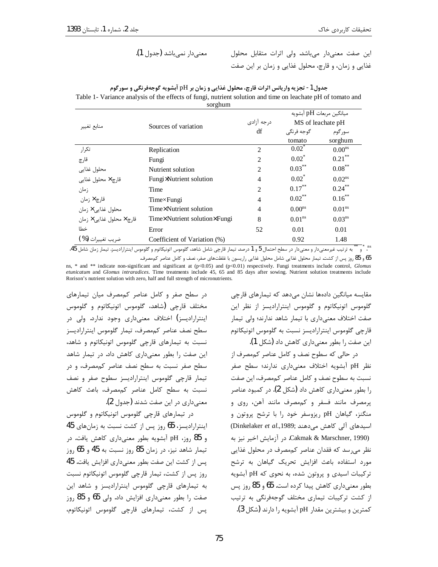این صفت معنے دار مے باشد. ولی اثرات متقابل محلول غذایی و زمان، و قارچ، محلول غذایی و زمان بر این صفت

|                            | 501<br>Sources of variation   |                             | ميانگين مربعات pH آبشويه |                      |
|----------------------------|-------------------------------|-----------------------------|--------------------------|----------------------|
| منابع تغيير                |                               | درجه آزادي                  | MS of leachate pH        |                      |
|                            |                               | df                          | گوجه فرنگی               | سورگوم               |
|                            |                               |                             | tomato                   | sorghum              |
| تكرار                      | Replication                   | $\overline{c}$              | $0.02^{\degree}$         | 0.00 <sup>ns</sup>   |
| قارچ                       | Fungi                         | 2                           | $0.02^*$                 | $0.21$ <sup>**</sup> |
| محلول غذايى                | Nutrient solution             | 2                           | $0.03$ **                | $0.08$ **            |
| قارچ × محلول غذایی         | Fungi×Nutrient solution       | $\overline{4}$              | $0.02^*$                 | $0.02^{ns}$          |
| زمان                       | Time                          | $\mathcal{D}_{\mathcal{L}}$ | $0.17$ <sup>**</sup>     | $0.24$ **            |
| قا <sub>ر</sub> چ × زمان   | $Time \times Fungi$           | $\overline{4}$              | $0.02$ **                | $0.16$ **            |
| محلول غذایی × زمان         | Time× Nutrient solution       | $\overline{4}$              | 0.00 <sup>ns</sup>       | 0.01 <sup>ns</sup>   |
| قارچ × محلول غذایے, × زمان | Timex Nutrient solution Fungi | 8                           | 0.01 <sup>ns</sup>       | 0.03 <sup>ns</sup>   |
| خطا                        | Error                         | 52                          | 0.01                     | 0.01                 |
| ضريب تغييرات ( % )         | Coefficient of Variation (%)  |                             | 0.92                     | 1.48<br>$**$         |

جدول 1- تجزیه واریانس اثرات قارچ، محلول غذایی و زمان بر pH آبشویه گوجهفرنگی و سورگوم Table 1- Variance analysis of the effects of fungi, nutrient solution and time on leachate pH of tomato and sorohum

"، " و \* "به ترتيب غيرمعنىدار و معنىدار در سطح احتمال 5 و 1 درصد. تيمار قارچى شامل شاهد، گلوموس اتونيكاتوم و گلوموس اينتراراديسز. تيمار زمان شامل 45، 65 و 85 روز پس از کشت. تیمار محلول غذایی شامل محلول غذایی راریسون با غلظتهای صفر، نصف و کامل عناصر کممصرف.

ns, \* and \*\* indicate non-significant and significant at (p<0.05) and (p<0.01) respectively. Fungi treatments include control, Glomus etunicatum and Glomus intraradices. Time treatments include 45, 65 and 85 days after sowing. Nutrient solution treatments include Rorison's nutrient solution with zero, half and full strength of micronutrients.

در سطح صفر و کامل عناصر کممصرف میان تیمارهای مختلف قارچی (شاهد، گلوموس اتونیکاتوم و گلوموس اینترارادیسز) اختلاف معنیداری وجود ندارد. ولی در سطح نصف عناصر كممصرف، تيمار كلوموس اينتراراديسز نسبت به تیمارهای قارچی گلوموس اتونیکاتوم و شاهد، این صفت را بطور معنی داری کاهش داد. در تیمار شاهد سطح صفر نسبت به سطح نصف عناصر کممصرف، و در تیمار قارچی گلوموس اینترارادیسز سطوح صفر و نصف نسبت به سطح کامل عناصر کممصرف، باعث کاهش معنی داری در این صفت شدند (جدول 2).

در تیمارهای قارچی گلوموس اتونیکاتوم و گلوموس اینترارادیسز، 65 روز پس از کشت نسبت به زمانهای 45 و 85 روز، pH آبشویه بطور معنی داری کاهش یافت. در تيمار شاهد نيز، در زمان 85 روز نسبت به 45 و 65 روز پس از کشت این صفت بطور معنیداری افزایش یافت. 45 روز پس از کشت، تیمار قارچی گلوموس اتونیکاتوم نسبت به تیمارهای قارچی گلوموس اینترارادیسز و شاهد این صفت را بطور معنیداری افزایش داد. ولی 65 و 85 روز پس از کشت، تیمارهای قارچی گلوموس اتونیکاتوم، مقایسه میانگین دادهها نشان مے،دهد که تیمارهای قارچی گلوموس اتونیکاتوم و گلوموس اینترارادیسز از نظر این صفت اختلاف معنىدارى با تيمار شاهد ندارند؛ ولى تيمار قارچی گلوموس اینترارادیسز نسبت به گلوموس اتونیکاتوم این صفت را بطور معنیداری کاهش داد (شکل 1).

در حالی که سطوح نصف و کامل عناصر کممصرف از نظر pH آبشویه اختلاف معنیداری ندارند؛ سطح صفر نسبت به سطوح نصف و کامل عناصر کممصرف، این صفت را بطور معنیداری کاهش داد (شکل 2). در کمبود عناصر يرمصرف مانند فسفر و كممصرف مانند آهن، روى و منگنز، گیاهان pH ریزوسفر خود را با ترشح پروتون و اسیدهای آلی کاهش میدهند ;Dinkelaker et al.,1989) Cakmak & Marschner, 1990). در آزمایش اخیر نیز به نظر می رسد که فقدان عناصر کممصرف در محلول غذایی مورد استفاده باعث افزایش تحریک گیاهان به ترشح تر کیبات اسیدی و پروتون شده، به نحوی که pH آبشویه بطور معنی داری کاهش پیدا کرده است. 65 و 85 روز پس از کشت ترکیبات تیماری مختلف گوجهفرنگی به ترتیب کمترین و بیشترین مقدار pH آبشویه را دارند (شکل 3).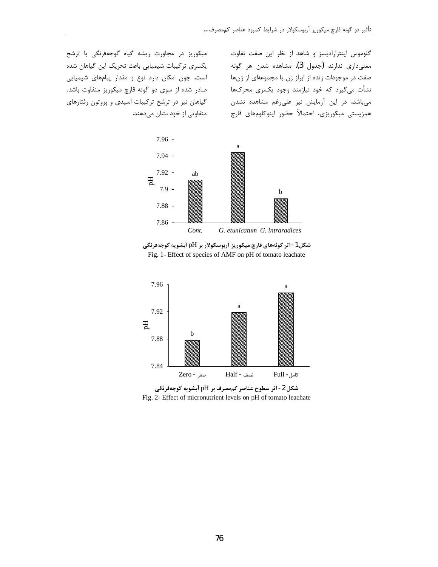گلوموس اینترارادیسز و شاهد از نظر این صفت تفاوت معنىدارى ندارند (جدول 3). مشاهده شدن هر گونه صفت در موجودات زنده از ابراز ژن یا مجموعهای از ژنها نشأت میگیرد که خود نیازمند وجود یکسری محرکها میباشد. در این آزمایش نیز علیرغم مشاهده نشدن همزیستی میکوریزی، احتمالاً حضور اینوکلومهای قارچ

میکوریز در مجاورت ریشه گیاه گوجهفرنگی با ترشح یکسری ترکیبات شیمیایی باعث تحریک این گیاهان شده است. چون امکان دارد نوع و مقدار پیامهای شیمیایی صادر شده از سوی دو گونه قارچ میکوریز متفاوت باشد، گیاهان نیز در ترشح ترکیبات اسیدی و پروتون رفتارهای متفاوتی از خود نشان میدهند.







شکل 2- اثر سطوح عناصر کممصرف بر pH آبشویه گوجهفرنگی Fig. 2- Effect of micronutrient levels on pH of tomato leachate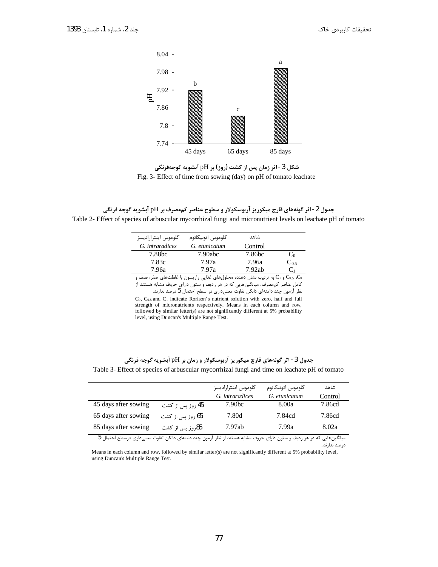درصد ندارند.





جدول 2- اثر گونههای قارچ میکوریز آربوسکولار و سطوح عناصر کممصرف بر pH آبشویه گوجه فرنگی Table 2- Effect of species of arbuscular mycorrhizal fungi and micronutrient levels on leachate pH of tomato

| گلوموس اینترارادیسز                                                                               | گلوموس اتونيكاتوم                                                       | شاهد    |                |  |
|---------------------------------------------------------------------------------------------------|-------------------------------------------------------------------------|---------|----------------|--|
| G. intraradices                                                                                   | G. etunicatum                                                           | Control |                |  |
| 7.88bc                                                                                            | 7.90abc                                                                 | 7.86bc  | C <sub>0</sub> |  |
| 7.83c                                                                                             | 7.97a                                                                   | 7.96a   | $C_0$          |  |
| 7.96a                                                                                             | 7.97a                                                                   | 7.92ab  | $C_1$          |  |
| و C1 به ترتیب نشان دهنده محلولهای غذایی راریسون با غلظتهای صفر، نصف و $\rm C_{0.5}$ ، $\rm C_{0}$ |                                                                         |         |                |  |
| کامل عناصر کممصرف. میانگینهایی که در هر ردیف و ستون دارای حروف مشابه هستند از                     |                                                                         |         |                |  |
|                                                                                                   | نظر آزمون چند دامنهای دانکن تفاوت معنیداری در سطح احتمال 5 درصد ندارند. |         |                |  |

 $C_0$ ,  $C_{0.5}$  and  $C_1$  indicate Rorison's nutrient solution with zero, half and full strength of micronutrients respectively. Means in each column and row, followed by similar letter(s) are not significantly different at 5% probability level, using Duncan's Multiple Range Test.

|                                                                                                                      |                         | گلوموس اينتراراديسز | گلوموس اتونيكاتوم | شاهد    |
|----------------------------------------------------------------------------------------------------------------------|-------------------------|---------------------|-------------------|---------|
|                                                                                                                      |                         | G. intraradices     | G. etunicatum     | Control |
| 45 days after sowing                                                                                                 | 45 روز پس از کشت        | 7.90 <sub>bc</sub>  | 8.00a             | 7.86cd  |
| 65 days after sowing                                                                                                 | <b>65</b> روز پس از کشت | 7.80d               | 7.84cd            | 7.86cd  |
| 85 days after sowing                                                                                                 | 85روز پس از کشت         | 7.97ab              | 7.99a             | 8.02a   |
| میانگینهایی که در هر ردیف و ستون دارای حروف مشابه هستند از نظر ازمون چند دامنهای دانکن تفاوت معنیداری درسطح احتمال b |                         |                     |                   |         |

جدول 3- اثر گونههای قارچ میکوریز آربوسکولار و زمان بر pH آبشویه گوجه فرنگی Table 3- Effect of species of arbuscular mycorrhizal fungi and time on leachate pH of tomato

Means in each column and row, followed by similar letter(s) are not significantly different at 5% probability level, using Duncan's Multiple Range Test.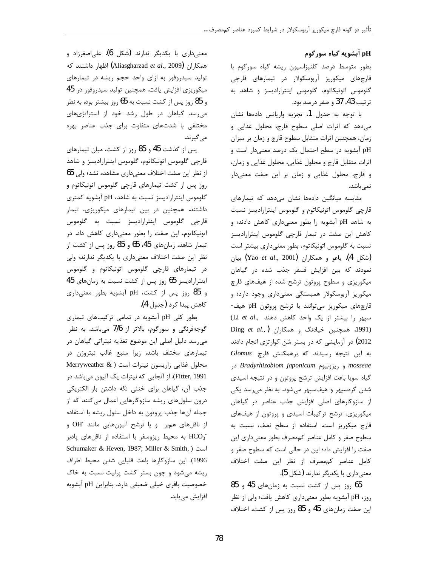### pH آبشويه گياه سورگوم

بطور متوسط درصد كلنيزاسيون ريشه گياه سورگوم با قارچهای میکوریز آربوسکولار در تیمارهای قارچی گلوموس اتونيكاتوم، گلوموس اينتراراديسز و شاهد به ترتيب 43، 37 و صفر درصد بود.

با توجه به جدول 1، تجزيه واريانس دادهها نشان می دهد که اثرات اصلی سطوح قارچ، محلول غذایی و زمان، همچنین اثرات متقابل سطوح قارچ و زمان بر میزان pH آبشویه در سطح احتمال یک درصد معنیدار است و اثرات متقابل قارچ و محلول غذایی، محلول غذایی و زمان، و قارچ، محلول غذایی و زمان بر این صفت معنیدار نمے باشد.

مقایسه میانگین دادهها نشان میدهد که تیمارهای قارچی گلوموس اتونیکاتوم و گلوموس اینترارادیسز نسبت به شاهد pH آبشویه را بطور معنیداری کاهش دادند؛ و کاهش این صفت در تیمار قارچی گلوموس اینترارادیسز نسبت به گلوموس اتونیکاتوم، بطور معنیداری بیشتر است بيان). ياعو و همكاران (Yao *et al.*, 2001) بيان نمودند که بین افزایش فسفر جذب شده در گیاهان میکوریزی و سطوح پروتون ترشح شده از هیفهای قارچ میکوریز آربوسکولار همبستگی معنیداری وجود دارد؛ و قارچهای میکوریز میتوانند با ترشح پروتون pH هیف-سپهر را بيشتر از يک واحد كاهش دهند ..Li et al Ding et al., ) میچنین خیادنگ و همکاران. 2012) در آزمایشی که در بستر شن کوارتزی انجام دادند به این نتیجه رسیدند که برهمکنش قارچ Glomus mosseae و ريزوبيوم Bradyrhizobiom japonicum در گیاه سویا باعث افزایش ترشح پروتون و در نتیجه اسیدی شدن گرهسپهر و هیفسپهر میشود. به نظر می رسد یکی از سازوکارهای اصلی افزایش جذب عناصر در گیاهان میکوریزی، ترشح ترکیبات اسیدی و پروتون از هیفهای قارچ میکوریز است. استفاده از سطح نصف، نسبت به سطوح صفر وكامل عناصر كممصرف بطور معنىدارى اين صفت را افزایش داد؛ این در حالی است که سطوح صفر و كامل عناصر كممصرف از نظر اين صفت اختلاف معنىدارى با يكديگر ندارند (شكل 5).

65 روز پس از کشت نسبت به زمانهای 45 و 85 روز، pH آبشویه بطور معنیداری کاهش یافت؛ ولی از نظر این صفت زمانهای 45 و 85 روز پس از کشت، اختلاف

معنىدارى با يكديگر ندارند (شكل 6). علىاصغرزاد و همكاران (Aliasgharzad et al., 2009) اظهار داشتند كه تولید سیدروفور به ازای واحد حجم ریشه در تیمارهای میکوریزی افزایش یافت. همچنین تولید سیدروفور در 45 و 85 روز پس از کشت نسبت به 65 روز بیشتر بود. به نظر میرسد گیاهان در طول رشد خود از استراتژیهای مختلفی با شدتهای متفاوت برای جذب عناصر بهره مے گیرند.

پس از گذشت 45 و 85 روز از کشت، میان تیمارهای قارچی گلوموس اتونیکاتوم، گلوموس اینترارادیسز و شاهد از نظر این صفت اختلاف معنی داری مشاهده نشد؛ ولی 65 روز پس از کشت تیمارهای قارچی گلوموس اتونیکاتوم و گلوموس اینترارادیسز نسبت به شاهد، pH آبشویه کمتری داشتند. همچنین در بین تیمارهای میکوریزی، تیمار قارچی گلوموس اینترارادیسز نسبت به گلوموس اتونیکاتوم، این صفت را بطور معنیداری کاهش داد. در تیمار شاهد، زمانهای 45، 65 و 85 روز پس از کشت از نظر این صفت اختلاف معنیداری با یکدیگر ندارند؛ ولی در تیمارهای قارچی گلوموس اتونیکاتوم و گلوموس اینترارادیسز 65 روز پس از کشت نسبت به زمانهای 45 و 85 روز پس از کشت، pH آبشويه بطور معنىدارى كاهش ييدا كرد (جدول 4).

بطور کلی pH آبشویه در تمامی ترکیبهای تیماری گوجهفرنگی و سورگوم، بالاتر از 7/6 میباشد. به نظر می رسد دلیل اصلی این موضوع تغذیه نیتراتی گیاهان در تیمارهای مختلف باشد. زیرا منبع غالب نیتروژن در محلول غذایی راریسون نیترات است ( Merryweather & Fitter, 1991). از آنجایی که نیترات یک آنیون میباشد در جذب آن، گیاهان برای خنثی نگه داشتن بار الکتریکی درون سلولهای ریشه سازوکارهایی اعمال میکنند که از جمله آنها جذب پروتون به داخل سلول ريشه با استفاده از ناقلهای همبر و یا ترشح آنیونهایی مانند OH و HCO3 به محیط ریزوسفر با استفاده از ناقلهای پادبر Schumaker & Heven, 1987; Miller & Smith, ) است 1996). اين سازوكارها باعث قليايي شدن محيط اطراف ریشه میشود و چون بستر کشت پرلیت نسبت به خاک خصوصیت بافری خیلی ضعیفی دارد، بنابراین pH آبشویه افزایش مے یابد.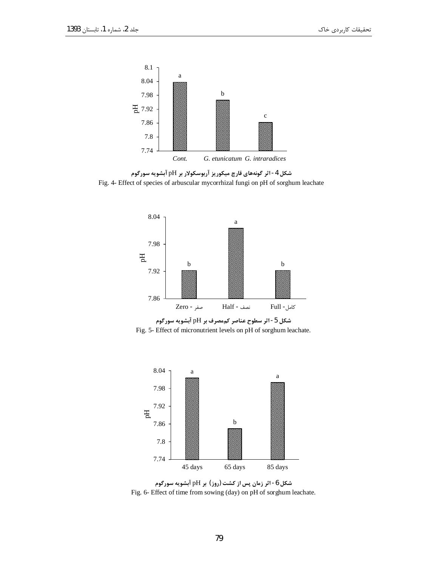

شکل 4- اثر گونههای قارچ میکوریز آربوسکولار بر pH آبشویه سورگوم Fig. 4- Effect of species of arbuscular mycorrhizal fungi on pH of sorghum leachate







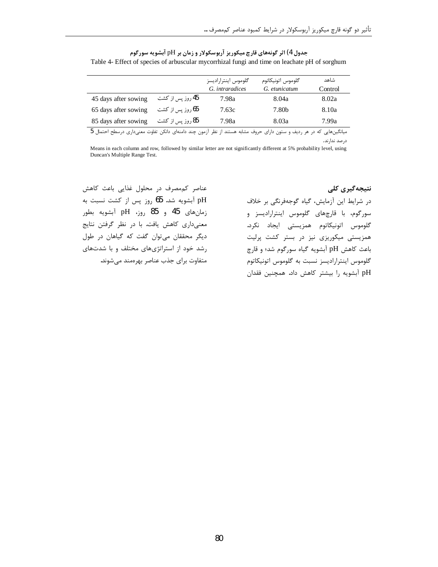| جدول 4) اثر گونههای قارچ میکوریز آربوسکولار و زمان بر pH آبشویه سورگوم                        |
|-----------------------------------------------------------------------------------------------|
| Table 4- Effect of species of arbuscular mycorrhizal fungi and time on leachate pH of sorghum |

|                      |                         | گلوموس اینترارادیسز<br>G. intraradices | گلوموس اتونيكاتوم<br>G. etunicatum | شاهد<br>Control |
|----------------------|-------------------------|----------------------------------------|------------------------------------|-----------------|
| 45 days after sowing | 45 روز پس از کشت        | 7.98a                                  | 8.04a                              | 8.02a           |
| 65 days after sowing | ِ 65 روز پس از کشت      | 7.63c                                  | 7.80 <sub>b</sub>                  | 8.10a           |
| 85 days after sowing | <b>85</b> روز پس از کشت | 7.98a                                  | 8.03a                              | 7.99a           |

.<br>میانگینهایی که در هر ردیف و ستون دارای حروف مشابه هستند از نظر آزمون چند دامنهای دانکن تفاوت معنیداری درسطح احتمال 5 درصد ندارند.

Means in each column and row, followed by similar letter are not significantly different at 5% probability level, using Duncan's Multiple Range Test.

عناصر کممصرف در محلول غذایی باعث کاهش pH آبشویه شد. 65 روز پس از کشت نسبت به زمانهای 45 و 85 روز، pH آبشویه بطور معنیداری کاهش یافت. با در نظر گرفتن نتایج ديگر محققان مي توان گفت كه گياهان در طول رشد خود از استراتژیهای مختلف و با شدتهای متفاوت برای جذب عناصر بهرهمند میشوند.

نتیجهگیری کلی در شرایط این آزمایش، گیاه گوجهفرنگی بر خلاف سورگوم، با قارچهای گلوموس اینترارادیسز و گلوموس اتونيكاتوم همزيستي ايجاد نكرد. همزیستی میکوریزی نیز در بستر کشت پرلیت باعث کاهش pH آبشویه گیاه سورگوم شد؛ و قارچ گلوموس اینترارادیسز نسبت به گلوموس اتونیکاتوم pH آبشویه را بیشتر کاهش داد. همچنین فقدان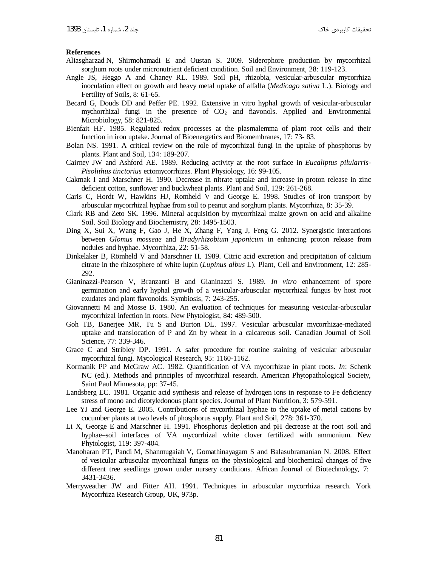#### **References**

- Aliasgharzad N, Shirmohamadi E and Oustan S. 2009. Siderophore production by mycorrhizal sorghum roots under micronutrient deficient condition. Soil and Environment, 28: 119-123.
- Angle JS, Heggo A and Chaney RL. 1989. Soil pH, rhizobia, vesicular-arbuscular mycorrhiza inoculation effect on growth and heavy metal uptake of alfalfa (Medicago sativa L.). Biology and Fertility of Soils, 8: 61-65.
- Becard G, Douds DD and Peffer PE. 1992. Extensive in vitro hyphal growth of vesicular-arbuscular mychorrhizal fungi in the presence of  $CO<sub>2</sub>$  and flavonols. Applied and Environmental Microbiology, 58: 821-825.
- Bienfait HF. 1985. Regulated redox processes at the plasmalemma of plant root cells and their function in iron uptake. Journal of Bioenergetics and Biomembranes, 17: 73-83.
- Bolan NS. 1991. A critical review on the role of mycorrhizal fungi in the uptake of phosphorus by plants. Plant and Soil, 134: 189-207.
- Cairney JW and Ashford AE. 1989. Reducing activity at the root surface in Eucaliptus pilularris-Pisolithus tinctorius ectomycorrhizas. Plant Physiology, 16: 99-105.
- Cakmak I and Marschner H. 1990. Decrease in nitrate uptake and increase in proton release in zinc deficient cotton, sunflower and buckwheat plants. Plant and Soil, 129: 261-268.
- Caris C, Hordt W, Hawkins HJ, Romheld V and George E. 1998. Studies of iron transport by arbuscular mycorrhizal hyphae from soil to peanut and sorghum plants. Mycorrhiza, 8: 35-39.
- Clark RB and Zeto SK. 1996. Mineral acquisition by mycorrhizal maize grown on acid and alkaline Soil. Soil Biology and Biochemistry, 28: 1495-1503.
- Ding X, Sui X, Wang F, Gao J, He X, Zhang F, Yang J, Feng G. 2012. Synergistic interactions between Glomus mosseae and Bradyrhizobium japonicum in enhancing proton release from nodules and hyphae. Mycorrhiza, 22: 51-58.
- Dinkelaker B, Römheld V and Marschner H. 1989. Citric acid excretion and precipitation of calcium citrate in the rhizosphere of white lupin (*Lupinus albus L*). Plant, Cell and Environment, 12: 285-292.
- Gianinazzi-Pearson V, Branzanti B and Gianinazzi S. 1989. In vitro enhancement of spore germination and early hyphal growth of a vesicular-arbuscular mycorrhizal fungus by host root exudates and plant flavonoids. Symbiosis, 7: 243-255.
- Giovannetti M and Mosse B. 1980. An evaluation of techniques for measuring vesicular-arbuscular mycorrhizal infection in roots. New Phytologist, 84: 489-500.
- Goh TB, Banerjee MR, Tu S and Burton DL. 1997. Vesicular arbuscular mycorrhizae-mediated uptake and translocation of P and Zn by wheat in a calcareous soil. Canadian Journal of Soil Science, 77: 339-346.
- Grace C and Stribley DP. 1991. A safer procedure for routine staining of vesicular arbuscular mycorrhizal fungi. Mycological Research, 95: 1160-1162.
- Kormanik PP and McGraw AC. 1982. Quantification of VA mycorrhizae in plant roots. In: Schenk NC (ed.). Methods and principles of mycorrhizal research. American Phytopathological Society, Saint Paul Minnesota, pp: 37-45.
- Landsberg EC. 1981. Organic acid synthesis and release of hydrogen ions in response to Fe deficiency stress of mono and dicotyledonous plant species. Journal of Plant Nutrition, 3: 579-591.
- Lee YJ and George E. 2005. Contributions of mycorrhizal hyphae to the uptake of metal cations by cucumber plants at two levels of phosphorus supply. Plant and Soil, 278: 361-370.
- Li X, George E and Marschner H. 1991. Phosphorus depletion and pH decrease at the root-soil and hyphae-soil interfaces of VA mycorrhizal white clover fertilized with ammonium. New Phytologist, 119: 397-404.
- Manoharan PT, Pandi M, Shanmugaiah V, Gomathinayagam S and Balasubramanian N. 2008. Effect of vesicular arbuscular mycorrhizal fungus on the physiological and biochemical changes of five different tree seedlings grown under nursery conditions. African Journal of Biotechnology, 7: 3431-3436.
- Merryweather JW and Fitter AH. 1991. Techniques in arbuscular mycorrhiza research. York Mycorrhiza Research Group, UK, 973p.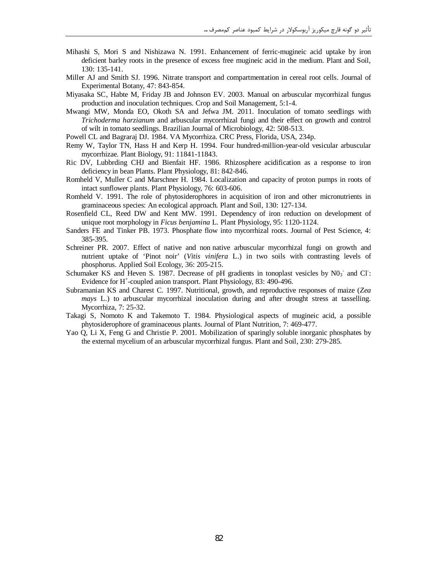- Mihashi S, Mori S and Nishizawa N. 1991. Enhancement of ferric-mugineic acid uptake by iron deficient barley roots in the presence of excess free mugineic acid in the medium. Plant and Soil, 130: 135-141.
- Miller AJ and Smith SJ. 1996. Nitrate transport and compartmentation in cereal root cells. Journal of Experimental Botany, 47: 843-854.
- Miyasaka SC, Habte M, Friday JB and Johnson EV. 2003. Manual on arbuscular mycorrhizal fungus production and inoculation techniques. Crop and Soil Management, 5:1-4.
- Mwangi MW, Monda EO, Okoth SA and Jefwa JM. 2011. Inoculation of tomato seedlings with Trichoderma harzianum and arbuscular mycorrhizal fungi and their effect on growth and control of wilt in tomato seedlings. Brazilian Journal of Microbiology, 42: 508-513.
- Powell CL and Bagraraj DJ. 1984. VA Mycorrhiza. CRC Press, Florida, USA, 234p.
- Remy W, Taylor TN, Hass H and Kerp H. 1994. Four hundred-million-year-old vesicular arbuscular mycorrhizae. Plant Biology, 91: 11841-11843.
- Ric DV, Lubbrding CHJ and Bienfait HF. 1986. Rhizosphere acidification as a response to iron deficiency in bean Plants. Plant Physiology, 81: 842-846.
- Romheld V, Muller C and Marschner H. 1984. Localization and capacity of proton pumps in roots of intact sunflower plants. Plant Physiology, 76: 603-606.
- Romheld V. 1991. The role of phytosiderophores in acquisition of iron and other micronutrients in graminaceous species: An ecological approach. Plant and Soil, 130: 127-134.
- Rosenfield CL, Reed DW and Kent MW. 1991. Dependency of iron reduction on development of unique root morphology in Ficus benjamina L. Plant Physiology, 95: 1120-1124.
- Sanders FE and Tinker PB. 1973. Phosphate flow into mycorrhizal roots. Journal of Pest Science, 4: 385-395.
- Schreiner PR. 2007. Effect of native and non native arbuscular mycorrhizal fungi on growth and nutrient uptake of 'Pinot noir' (Vitis vinifera L.) in two soils with contrasting levels of phosphorus. Applied Soil Ecology, 36: 205-215.
- Schumaker KS and Heven S. 1987. Decrease of pH gradients in tonoplast vesicles by  $N0_3$  and CI: Evidence for H<sup>+</sup>-coupled anion transport. Plant Physiology, 83: 490-496.
- Subramanian KS and Charest C. 1997. Nutritional, growth, and reproductive responses of maize (Zea *mays* L.) to arbuscular mycorrhizal inoculation during and after drought stress at tasselling. Mycorrhiza, 7: 25-32.
- Takagi S, Nomoto K and Takemoto T. 1984. Physiological aspects of mugineic acid, a possible phytosiderophore of graminaceous plants. Journal of Plant Nutrition, 7: 469-477.
- Yao Q, Li X, Feng G and Christie P. 2001. Mobilization of sparingly soluble inorganic phosphates by the external mycelium of an arbuscular mycorrhizal fungus. Plant and Soil, 230: 279-285.